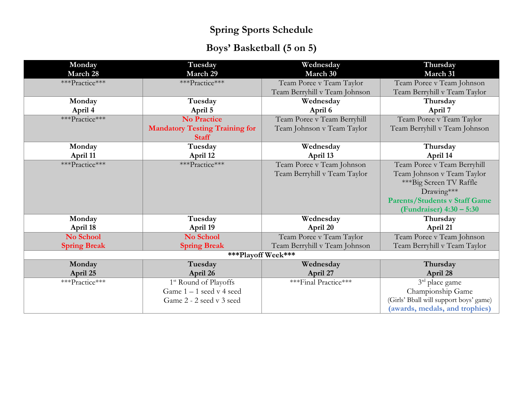# **Boys' Basketball (5 on 5)**

| Monday              | Tuesday                               | Wednesday                     | Thursday                               |
|---------------------|---------------------------------------|-------------------------------|----------------------------------------|
| March 28            | March 29                              | March 30                      | March 31                               |
| ***Practice***      | ***Practice***                        | Team Poree v Team Taylor      | Team Poree v Team Johnson              |
|                     |                                       | Team Berryhill v Team Johnson | Team Berryhill v Team Taylor           |
| Monday              | Tuesday                               | Wednesday                     | Thursday                               |
| April 4             | April 5                               | April 6                       | April 7                                |
| ***Practice***      | <b>No Practice</b>                    | Team Poree v Team Berryhill   | Team Poree v Team Taylor               |
|                     | <b>Mandatory Testing Training for</b> | Team Johnson v Team Taylor    | Team Berryhill v Team Johnson          |
|                     | <b>Staff</b>                          |                               |                                        |
| Monday              | Tuesday                               | Wednesday                     | Thursday                               |
| April 11            | April 12                              | April 13                      | April 14                               |
| ***Practice***      | ***Practice***                        | Team Poree v Team Johnson     | Team Poree v Team Berryhill            |
|                     |                                       | Team Berryhill v Team Taylor  | Team Johnson v Team Taylor             |
|                     |                                       |                               | ***Big Screen TV Raffle                |
|                     |                                       |                               | Drawing***                             |
|                     |                                       |                               | <b>Parents/Students v Staff Game</b>   |
|                     |                                       |                               | (Fundraiser) 4:30 – 5:30               |
| Monday              | Tuesday                               | Wednesday                     | Thursday                               |
| April 18            | April 19                              | April 20                      | April 21                               |
| No School           | No School                             | Team Poree v Team Taylor      | Team Poree v Team Johnson              |
| <b>Spring Break</b> | <b>Spring Break</b>                   | Team Berryhill v Team Johnson | Team Berryhill v Team Taylor           |
| ***Playoff Week***  |                                       |                               |                                        |
| Monday              | Tuesday                               | Wednesday                     | Thursday                               |
| April 25            | April 26                              | April 27                      | April 28                               |
| ***Practice***      | 1 <sup>st</sup> Round of Playoffs     | ***Final Practice***          | $3rd$ place game                       |
|                     | Game 1-1 seed v 4 seed                |                               | Championship Game                      |
|                     | Game 2 - 2 seed v 3 seed              |                               | (Girls' Bball will support boys' game) |
|                     |                                       |                               | (awards, medals, and trophies)         |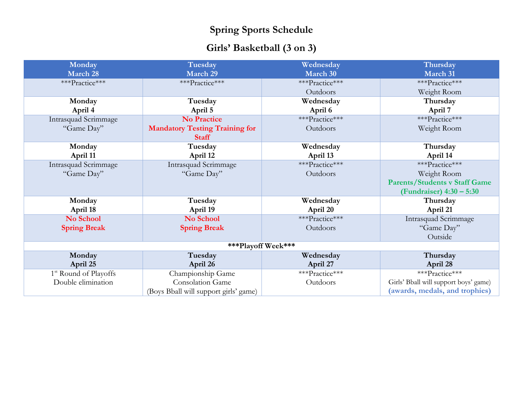## **Girls' Basketball (3 on 3)**

| Monday                            | Tuesday                                               | Wednesday      | Thursday                              |
|-----------------------------------|-------------------------------------------------------|----------------|---------------------------------------|
| March 28                          | March 29                                              | March 30       | March 31                              |
| ***Practice***                    | ***Practice***                                        | ***Practice*** | ***Practice***                        |
|                                   |                                                       | Outdoors       | Weight Room                           |
| Monday                            | Tuesday                                               | Wednesday      | Thursday                              |
| April 4                           | April 5                                               | April 6        | April 7                               |
| Intrasquad Scrimmage              | <b>No Practice</b>                                    | ***Practice*** | ***Practice***                        |
| "Game Day"                        | <b>Mandatory Testing Training for</b><br><b>Staff</b> | Outdoors       | Weight Room                           |
| Monday                            | Tuesday                                               | Wednesday      | Thursday                              |
| April 11                          | April 12                                              | April 13       | April 14                              |
| Intrasquad Scrimmage              | Intrasquad Scrimmage                                  | ***Practice*** | ***Practice***                        |
| "Game Day"                        | "Game Day"                                            | Outdoors       | Weight Room                           |
|                                   |                                                       |                | <b>Parents/Students v Staff Game</b>  |
|                                   |                                                       |                | (Fundraiser) 4:30 - 5:30              |
| Monday                            | Tuesday                                               | Wednesday      | Thursday                              |
| April 18                          | April 19                                              | April 20       | April 21                              |
| No School                         | No School                                             | ***Practice*** | Intrasquad Scrimmage                  |
| <b>Spring Break</b>               | <b>Spring Break</b>                                   | Outdoors       | "Game Day"                            |
|                                   |                                                       |                | Outside                               |
| ***Playoff Week***                |                                                       |                |                                       |
| Monday                            | Tuesday                                               | Wednesday      | Thursday                              |
| April 25                          | April 26                                              | April 27       | April 28                              |
| 1 <sup>st</sup> Round of Playoffs | Championship Game                                     | ***Practice*** | ***Practice***                        |
| Double elimination                | Consolation Game                                      | Outdoors       | Girls' Bball will support boys' game) |
|                                   | (Boys Bball will support girls' game)                 |                | (awards, medals, and trophies)        |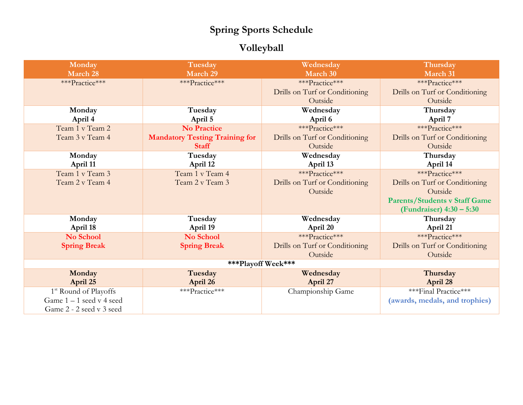## **Volleyball**

| Monday                            | Tuesday                               | Wednesday                      | Thursday                             |
|-----------------------------------|---------------------------------------|--------------------------------|--------------------------------------|
| March 28                          | March 29                              | March 30                       | March 31                             |
| ***Practice***                    | ***Practice***                        | ***Practice***                 | ***Practice***                       |
|                                   |                                       | Drills on Turf or Conditioning | Drills on Turf or Conditioning       |
|                                   |                                       | Outside                        | Outside                              |
| Monday                            | Tuesday                               | Wednesday                      | Thursday                             |
| April 4                           | April 5                               | April 6                        | April 7                              |
| Team 1 v Team 2                   | <b>No Practice</b>                    | ***Practice***                 | ***Practice***                       |
| Team 3 v Team 4                   | <b>Mandatory Testing Training for</b> | Drills on Turf or Conditioning | Drills on Turf or Conditioning       |
|                                   | <b>Staff</b>                          | Outside                        | Outside                              |
| Monday                            | Tuesday                               | Wednesday                      | Thursday                             |
| April 11                          | April 12                              | April 13                       | April 14                             |
| Team 1 v Team 3                   | Team 1 v Team 4                       | ***Practice***                 | ***Practice***                       |
| Team 2 v Team 4                   | Team 2 v Team 3                       | Drills on Turf or Conditioning | Drills on Turf or Conditioning       |
|                                   |                                       | Outside                        | Outside                              |
|                                   |                                       |                                | <b>Parents/Students v Staff Game</b> |
|                                   |                                       |                                | (Fundraiser) 4:30 – 5:30             |
| Monday                            | Tuesday                               | Wednesday                      | Thursday                             |
| April 18                          | April 19                              | April 20                       | April 21                             |
| No School                         | No School                             | ***Practice***                 | ***Practice***                       |
| <b>Spring Break</b>               | <b>Spring Break</b>                   | Drills on Turf or Conditioning | Drills on Turf or Conditioning       |
|                                   |                                       | Outside                        | Outside                              |
| ***Playoff Week***                |                                       |                                |                                      |
| Monday                            | Tuesday                               | Wednesday                      | Thursday                             |
| April 25                          | April 26                              | April 27                       | April 28                             |
| 1 <sup>st</sup> Round of Playoffs | ***Practice***                        | Championship Game              | ***Final Practice***                 |
| Game $1 - 1$ seed v 4 seed        |                                       |                                | (awards, medals, and trophies)       |
| Game 2 - 2 seed v 3 seed          |                                       |                                |                                      |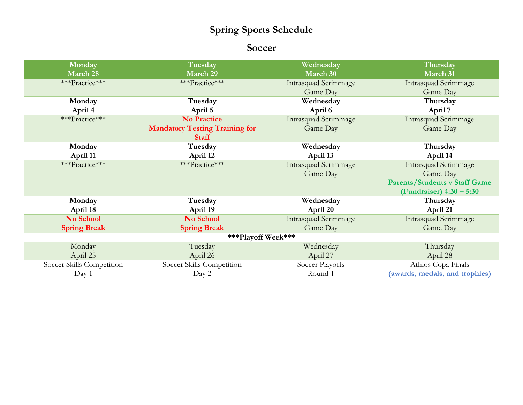#### **Soccer**

| Monday                    | Tuesday                               | Wednesday                   | Thursday                             |
|---------------------------|---------------------------------------|-----------------------------|--------------------------------------|
| March 28                  | March 29                              | March 30                    | March 31                             |
| ***Practice***            | ***Practice***                        | <b>Intrasquad Scrimmage</b> | <b>Intrasquad Scrimmage</b>          |
|                           |                                       | Game Day                    | Game Day                             |
| Monday                    | Tuesday                               | Wednesday                   | Thursday                             |
| April 4                   | April 5                               | April 6                     | April 7                              |
| ***Practice***            | <b>No Practice</b>                    | <b>Intrasquad Scrimmage</b> | <b>Intrasquad Scrimmage</b>          |
|                           | <b>Mandatory Testing Training for</b> | Game Day                    | Game Day                             |
|                           | <b>Staff</b>                          |                             |                                      |
| Monday                    | Tuesday                               | Wednesday                   | Thursday                             |
| April 11                  | April 12                              | April 13                    | April 14                             |
| ***Practice***            | ***Practice***                        | <b>Intrasquad Scrimmage</b> | <b>Intrasquad Scrimmage</b>          |
|                           |                                       | Game Day                    | Game Day                             |
|                           |                                       |                             | <b>Parents/Students v Staff Game</b> |
|                           |                                       |                             | (Fundraiser) $4:30 - 5:30$           |
| Monday                    | Tuesday                               | Wednesday                   | Thursday                             |
| April 18                  | April 19                              | April 20                    | April 21                             |
| No School                 | No School                             | Intrasquad Scrimmage        | Intrasquad Scrimmage                 |
| <b>Spring Break</b>       | <b>Spring Break</b>                   | Game Day                    | Game Day                             |
| ***Playoff Week***        |                                       |                             |                                      |
| Monday                    | Tuesday                               | Wednesday                   | Thursday                             |
| April 25                  | April 26                              | April 27                    | April 28                             |
| Soccer Skills Competition | Soccer Skills Competition             | Soccer Playoffs             | Athlos Copa Finals                   |
| Day 1                     | Day 2                                 | Round 1                     | (awards, medals, and trophies)       |